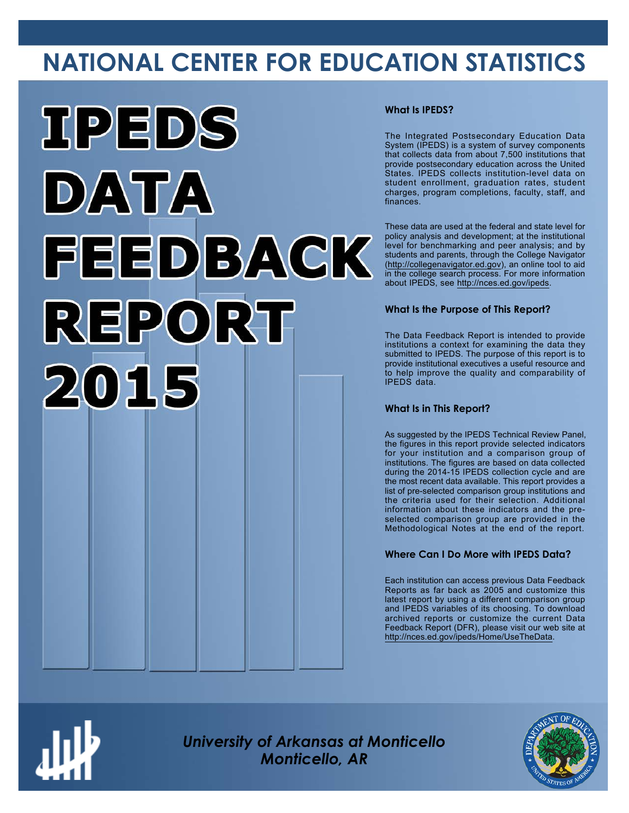# **NATIONAL CENTER FOR EDUCATION STATISTICS**



# **What Is IPEDS?**

The Integrated Postsecondary Education Data System (IPEDS) is a system of survey components that collects data from about 7,500 institutions that provide postsecondary education across the United States. IPEDS collects institution-level data on student enrollment, graduation rates, student charges, program completions, faculty, staff, and finances.

These data are used at the federal and state level for policy analysis and development; at the institutional level for benchmarking and peer analysis; and by students and parents, through the College Navigator ([http://collegenavigator.ed.gov\)](http://collegenavigator.ed.gov), an online tool to aid in the college search process. For more information about IPEDS, see [http://nces.ed.gov/ipeds.](http://nces.ed.gov/ipeds)

# **What Is the Purpose of This Report?**

The Data Feedback Report is intended to provide institutions a context for examining the data they submitted to IPEDS. The purpose of this report is to provide institutional executives a useful resource and to help improve the quality and comparability of IPEDS data.

# **What Is in This Report?**

As suggested by the IPEDS Technical Review Panel, the figures in this report provide selected indicators for your institution and a comparison group of institutions. The figures are based on data collected during the 2014-15 IPEDS collection cycle and are the most recent data available. This report provides a list of pre-selected comparison group institutions and the criteria used for their selection. Additional information about these indicators and the preselected comparison group are provided in the Methodological Notes at the end of the report.

# **Where Can I Do More with IPEDS Data?**

Each institution can access previous Data Feedback Reports as far back as 2005 and customize this latest report by using a different comparison group and IPEDS variables of its choosing. To download archived reports or customize the current Data Feedback Report (DFR), please visit our web site at [http://nces.ed.gov/ipeds/Home/UseTheData.](http://nces.ed.gov/ipeds/Home/UseTheData)



*University of Arkansas at Monticello Monticello, AR*

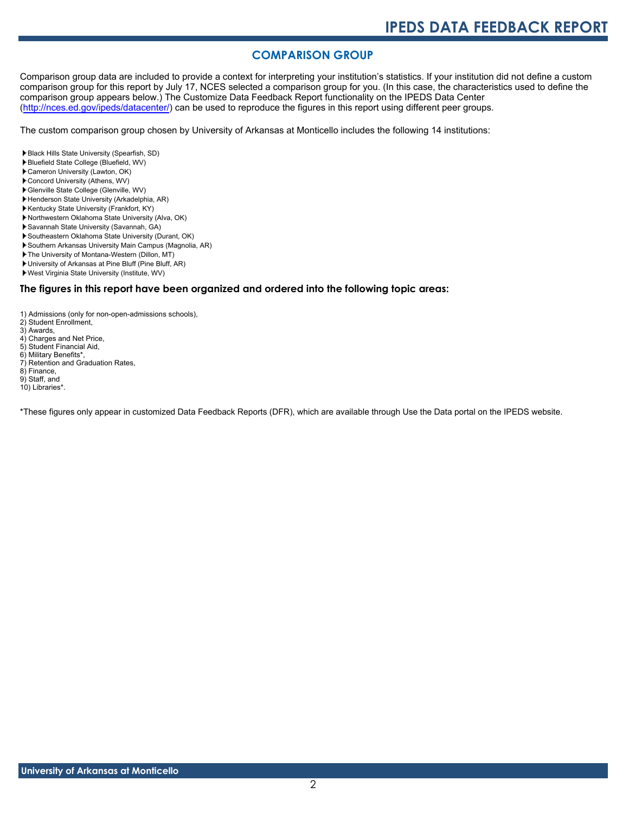# **COMPARISON GROUP**

Comparison group data are included to provide a context for interpreting your institution's statistics. If your institution did not define a custom comparison group for this report by July 17, NCES selected a comparison group for you. (In this case, the characteristics used to define the comparison group appears below.) The Customize Data Feedback Report functionality on the IPEDS Data Center [\(http://nces.ed.gov/ipeds/datacenter/\)](http://nces.ed.gov/ipeds/datacenter/) can be used to reproduce the figures in this report using different peer groups.

The custom comparison group chosen by University of Arkansas at Monticello includes the following 14 institutions:

- Black Hills State University (Spearfish, SD)
- Bluefield State College (Bluefield, WV)
- Cameron University (Lawton, OK)
- Concord University (Athens, WV)
- Glenville State College (Glenville, WV)
- Henderson State University (Arkadelphia, AR)
- Kentucky State University (Frankfort, KY)
- Northwestern Oklahoma State University (Alva, OK)
- Savannah State University (Savannah, GA)
- Southeastern Oklahoma State University (Durant, OK) Southern Arkansas University Main Campus (Magnolia, AR)
- The University of Montana-Western (Dillon, MT)
- University of Arkansas at Pine Bluff (Pine Bluff, AR)
- West Virginia State University (Institute, WV)

# **The figures in this report have been organized and ordered into the following topic areas:**

1) Admissions (only for non-open-admissions schools),

- 2) Student Enrollment,
- 3) Awards,
- 4) Charges and Net Price,
- 5) Student Financial Aid,
- 6) Military Benefits\*,
- 7) Retention and Graduation Rates, 8) Finance,
- 9) Staff, and
- 10) Libraries\*.

\*These figures only appear in customized Data Feedback Reports (DFR), which are available through Use the Data portal on the IPEDS website.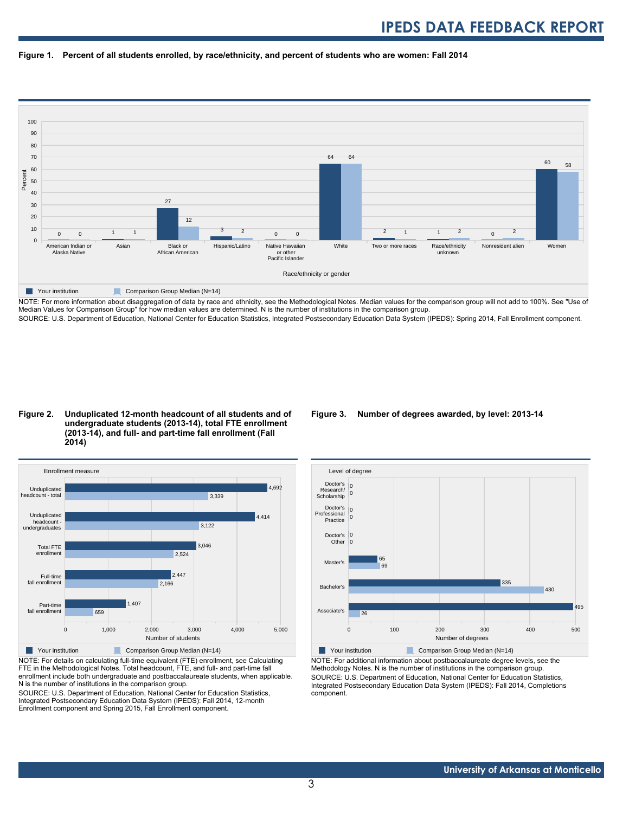



NOTE: For more information about disaggregation of data by race and ethnicity, see the Methodological Notes. Median values for the comparison group will not add to 100%. See "Use of Median Values for Comparison Group" for how median values are determined. N is the number of institutions in the comparison group. SOURCE: U.S. Department of Education, National Center for Education Statistics, Integrated Postsecondary Education Data System (IPEDS): Spring 2014, Fall Enrollment component.

# **Figure 2. Unduplicated 12-month headcount of all students and of undergraduate students (2013-14), total FTE enrollment (2013-14), and full- and part-time fall enrollment (Fall 2014)**



NOTE: For details on calculating full-time equivalent (FTE) enrollment, see Calculating FTE in the Methodological Notes. Total headcount, FTE, and full- and part-time fall enrollment include both undergraduate and postbaccalaureate students, when applicable. N is the number of institutions in the comparison group.

SOURCE: U.S. Department of Education, National Center for Education Statistics, Integrated Postsecondary Education Data System (IPEDS): Fall 2014, 12-month Enrollment component and Spring 2015, Fall Enrollment component.

# **Figure 3. Number of degrees awarded, by level: 2013-14**



NOTE: For additional information about postbaccalaureate degree levels, see the Methodology Notes. N is the number of institutions in the comparison group. SOURCE: U.S. Department of Education, National Center for Education Statistics, Integrated Postsecondary Education Data System (IPEDS): Fall 2014, Completions component.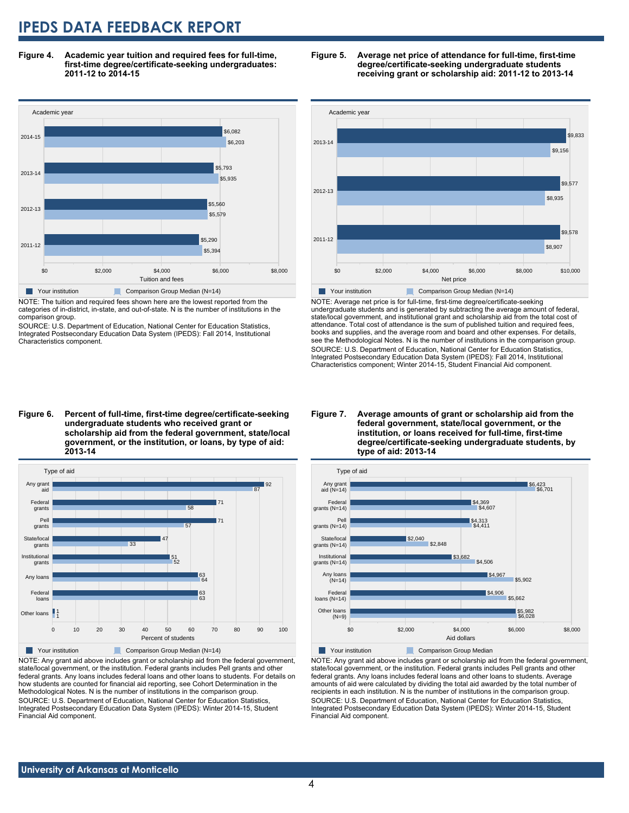**Figure 4. Academic year tuition and required fees for full-time, first-time degree/certificate-seeking undergraduates: 2011-12 to 2014-15**



NOTE: The tuition and required fees shown here are the lowest reported from the categories of in-district, in-state, and out-of-state. N is the number of institutions in the comparison group.

SOURCE: U.S. Department of Education, National Center for Education Statistics, Integrated Postsecondary Education Data System (IPEDS): Fall 2014, Institutional Characteristics component.





NOTE: Average net price is for full-time, first-time degree/certificate-seeking undergraduate students and is generated by subtracting the average amount of federal, state/local government, and institutional grant and scholarship aid from the total cost of attendance. Total cost of attendance is the sum of published tuition and required fees, books and supplies, and the average room and board and other expenses. For details, see the Methodological Notes. N is the number of institutions in the comparison group. SOURCE: U.S. Department of Education, National Center for Education Statistics, Integrated Postsecondary Education Data System (IPEDS): Fall 2014, Institutional Characteristics component; Winter 2014-15, Student Financial Aid component.

**Figure 6. Percent of full-time, first-time degree/certificate-seeking undergraduate students who received grant or scholarship aid from the federal government, state/local government, or the institution, or loans, by type of aid: 2013-14**



NOTE: Any grant aid above includes grant or scholarship aid from the federal government, state/local government, or the institution. Federal grants includes Pell grants and other federal grants. Any loans includes federal loans and other loans to students. For details on how students are counted for financial aid reporting, see Cohort Determination in the Methodological Notes. N is the number of institutions in the comparison group. SOURCE: U.S. Department of Education, National Center for Education Statistics, Integrated Postsecondary Education Data System (IPEDS): Winter 2014-15, Student Financial Aid component.

#### **Figure 7. Average amounts of grant or scholarship aid from the federal government, state/local government, or the institution, or loans received for full-time, first-time degree/certificate-seeking undergraduate students, by type of aid: 2013-14**



NOTE: Any grant aid above includes grant or scholarship aid from the federal government,

state/local government, or the institution. Federal grants includes Pell grants and other federal grants. Any loans includes federal loans and other loans to students. Average amounts of aid were calculated by dividing the total aid awarded by the total number of recipients in each institution. N is the number of institutions in the comparison group. SOURCE: U.S. Department of Education, National Center for Education Statistics, Integrated Postsecondary Education Data System (IPEDS): Winter 2014-15, Student Financial Aid component.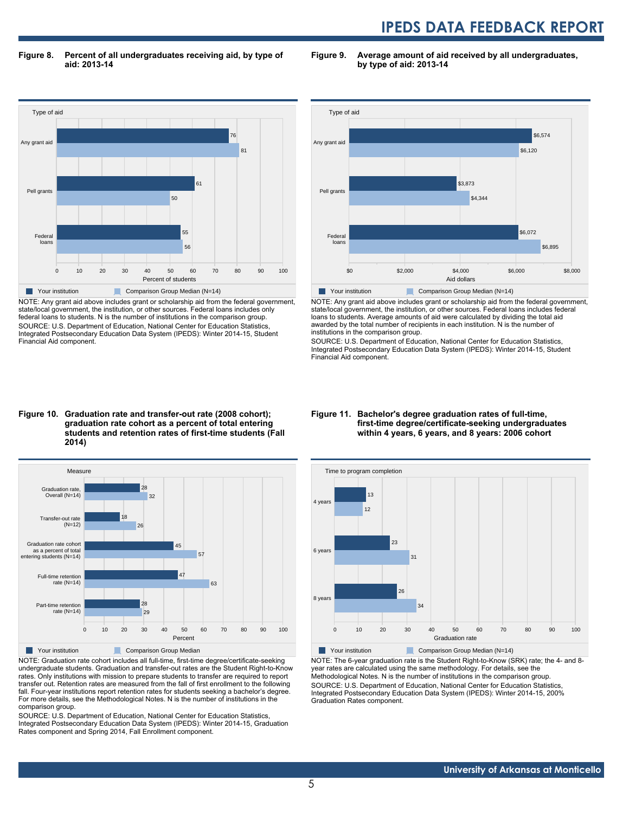**Figure 8. Percent of all undergraduates receiving aid, by type of aid: 2013-14**

**Figure 9. Average amount of aid received by all undergraduates, by type of aid: 2013-14**



NOTE: Any grant aid above includes grant or scholarship aid from the federal government, state/local government, the institution, or other sources. Federal loans includes only federal loans to students. N is the number of institutions in the comparison group. SOURCE: U.S. Department of Education, National Center for Education Statistics, Integrated Postsecondary Education Data System (IPEDS): Winter 2014-15, Student Financial Aid component.



NOTE: Any grant aid above includes grant or scholarship aid from the federal government, state/local government, the institution, or other sources. Federal loans includes federal loans to students. Average amounts of aid were calculated by dividing the total aid awarded by the total number of recipients in each institution. N is the number of institutions in the comparison group.

SOURCE: U.S. Department of Education, National Center for Education Statistics, Integrated Postsecondary Education Data System (IPEDS): Winter 2014-15, Student Financial Aid component.

### **Figure 10. Graduation rate and transfer-out rate (2008 cohort); graduation rate cohort as a percent of total entering students and retention rates of first-time students (Fall 2014)**



NOTE: Graduation rate cohort includes all full-time, first-time degree/certificate-seeking undergraduate students. Graduation and transfer-out rates are the Student Right-to-Know rates. Only institutions with mission to prepare students to transfer are required to report transfer out. Retention rates are measured from the fall of first enrollment to the following fall. Four-year institutions report retention rates for students seeking a bachelor's degree. For more details, see the Methodological Notes. N is the number of institutions in the comparison group.

SOURCE: U.S. Department of Education, National Center for Education Statistics, Integrated Postsecondary Education Data System (IPEDS): Winter 2014-15, Graduation Rates component and Spring 2014, Fall Enrollment component.

#### **Figure 11. Bachelor's degree graduation rates of full-time, first-time degree/certificate-seeking undergraduates within 4 years, 6 years, and 8 years: 2006 cohort**



NOTE: The 6-year graduation rate is the Student Right-to-Know (SRK) rate; the 4- and 8 year rates are calculated using the same methodology. For details, see the Methodological Notes. N is the number of institutions in the comparison group. SOURCE: U.S. Department of Education, National Center for Education Statistics, Integrated Postsecondary Education Data System (IPEDS): Winter 2014-15, 200% Graduation Rates component.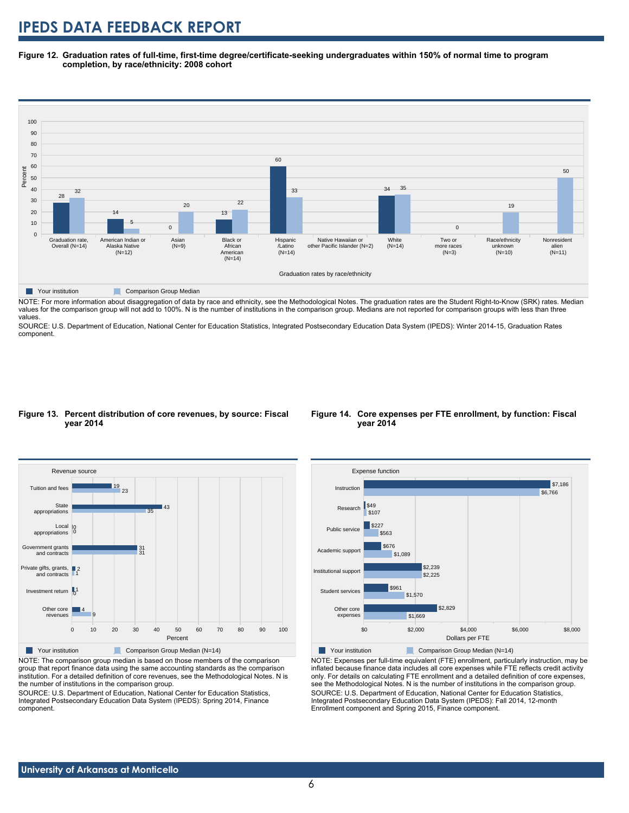**Figure 12. Graduation rates of full-time, first-time degree/certificate-seeking undergraduates within 150% of normal time to program completion, by race/ethnicity: 2008 cohort**



**Table Your institution Comparison Group Median** 

NOTE: For more information about disaggregation of data by race and ethnicity, see the Methodological Notes. The graduation rates are the Student Right-to-Know (SRK) rates. Median values for the comparison group will not add to 100%. N is the number of institutions in the comparison group. Medians are not reported for comparison groups with less than three values.

SOURCE: U.S. Department of Education, National Center for Education Statistics, Integrated Postsecondary Education Data System (IPEDS): Winter 2014-15, Graduation Rates component.

### **Figure 13. Percent distribution of core revenues, by source: Fiscal year 2014**



NOTE: The comparison group median is based on those members of the comparison group that report finance data using the same accounting standards as the comparison institution. For a detailed definition of core revenues, see the Methodological Notes. N is the number of institutions in the comparison group.

SOURCE: U.S. Department of Education, National Center for Education Statistics, Integrated Postsecondary Education Data System (IPEDS): Spring 2014, Finance component.

### **Figure 14. Core expenses per FTE enrollment, by function: Fiscal year 2014**



NOTE: Expenses per full-time equivalent (FTE) enrollment, particularly instruction, may be inflated because finance data includes all core expenses while FTE reflects credit activity only. For details on calculating FTE enrollment and a detailed definition of core expenses, see the Methodological Notes. N is the number of institutions in the comparison group. SOURCE: U.S. Department of Education, National Center for Education Statistics, Integrated Postsecondary Education Data System (IPEDS): Fall 2014, 12-month Enrollment component and Spring 2015, Finance component.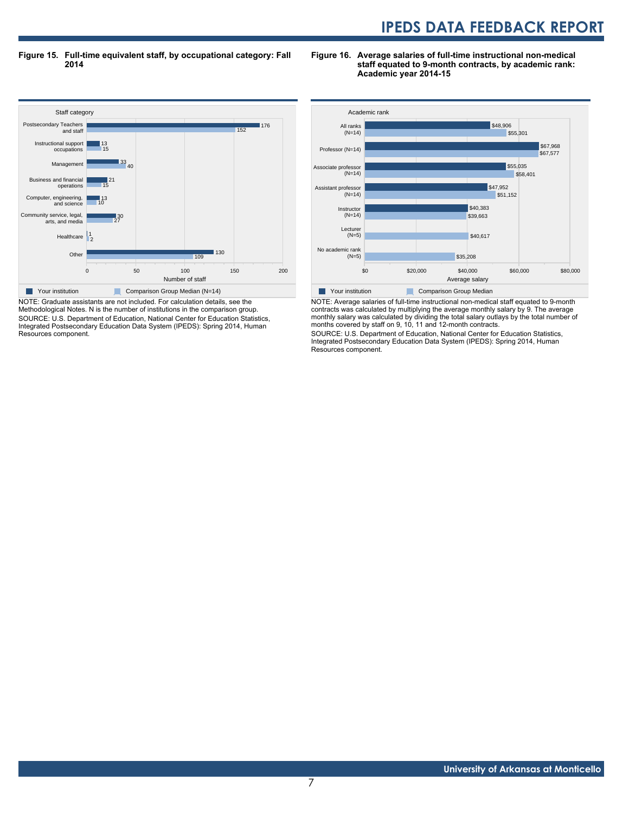**Figure 15. Full-time equivalent staff, by occupational category: Fall 2014**

**Figure 16. Average salaries of full-time instructional non-medical staff equated to 9-month contracts, by academic rank: Academic year 2014-15**



NOTE: Graduate assistants are not included. For calculation details, see the Methodological Notes. N is the number of institutions in the comparison group. SOURCE: U.S. Department of Education, National Center for Education Statistics, Integrated Postsecondary Education Data System (IPEDS): Spring 2014, Human Resources component.



NOTE: Average salaries of full-time instructional non-medical staff equated to 9-month contracts was calculated by multiplying the average monthly salary by 9. The average monthly salary was calculated by dividing the total salary outlays by the total number of months covered by staff on 9, 10, 11 and 12-month contracts.

SOURCE: U.S. Department of Education, National Center for Education Statistics, Integrated Postsecondary Education Data System (IPEDS): Spring 2014, Human Resources component.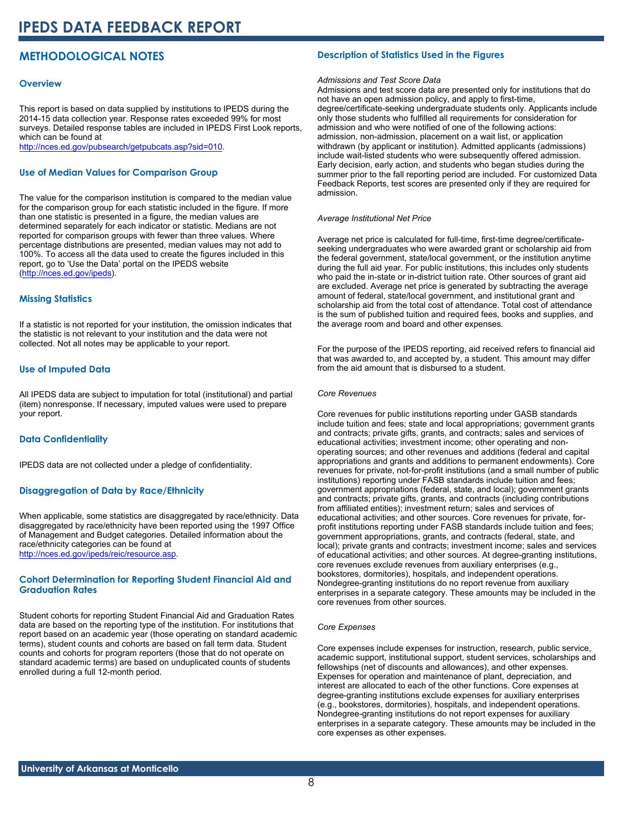# **METHODOLOGICAL NOTES**

# **Overview**

This report is based on data supplied by institutions to IPEDS during the 2014-15 data collection year. Response rates exceeded 99% for most surveys. Detailed response tables are included in IPEDS First Look reports, which can be found at [http://nces.ed.gov/pubsearch/getpubcats.asp?sid=010.](http://nces.ed.gov/pubsearch/getpubcats.asp?sid=010)

# **Use of Median Values for Comparison Group**

The value for the comparison institution is compared to the median value for the comparison group for each statistic included in the figure. If more than one statistic is presented in a figure, the median values are determined separately for each indicator or statistic. Medians are not reported for comparison groups with fewer than three values. Where percentage distributions are presented, median values may not add to 100%. To access all the data used to create the figures included in this report, go to 'Use the Data' portal on the IPEDS website ([http://nces.ed.gov/ipeds\)](http://nces.ed.gov/ipeds).

# **Missing Statistics**

If a statistic is not reported for your institution, the omission indicates that the statistic is not relevant to your institution and the data were not collected. Not all notes may be applicable to your report.

# **Use of Imputed Data**

All IPEDS data are subject to imputation for total (institutional) and partial (item) nonresponse. If necessary, imputed values were used to prepare your report.

# **Data Confidentiality**

IPEDS data are not collected under a pledge of confidentiality.

# **Disaggregation of Data by Race/Ethnicity**

When applicable, some statistics are disaggregated by race/ethnicity. Data disaggregated by race/ethnicity have been reported using the 1997 Office of Management and Budget categories. Detailed information about the race/ethnicity categories can be found at <http://nces.ed.gov/ipeds/reic/resource.asp>.

# **Cohort Determination for Reporting Student Financial Aid and Graduation Rates**

Student cohorts for reporting Student Financial Aid and Graduation Rates data are based on the reporting type of the institution. For institutions that report based on an academic year (those operating on standard academic terms), student counts and cohorts are based on fall term data. Student counts and cohorts for program reporters (those that do not operate on standard academic terms) are based on unduplicated counts of students enrolled during a full 12-month period.

# **Description of Statistics Used in the Figures**

# *Admissions and Test Score Data*

Admissions and test score data are presented only for institutions that do not have an open admission policy, and apply to first-time, degree/certificate-seeking undergraduate students only. Applicants include only those students who fulfilled all requirements for consideration for admission and who were notified of one of the following actions: admission, non-admission, placement on a wait list, or application withdrawn (by applicant or institution). Admitted applicants (admissions) include wait-listed students who were subsequently offered admission. Early decision, early action, and students who began studies during the summer prior to the fall reporting period are included. For customized Data Feedback Reports, test scores are presented only if they are required for admission.

#### *Average Institutional Net Price*

Average net price is calculated for full-time, first-time degree/certificateseeking undergraduates who were awarded grant or scholarship aid from the federal government, state/local government, or the institution anytime during the full aid year. For public institutions, this includes only students who paid the in-state or in-district tuition rate. Other sources of grant aid are excluded. Average net price is generated by subtracting the average amount of federal, state/local government, and institutional grant and scholarship aid from the total cost of attendance. Total cost of attendance is the sum of published tuition and required fees, books and supplies, and the average room and board and other expenses.

For the purpose of the IPEDS reporting, aid received refers to financial aid that was awarded to, and accepted by, a student. This amount may differ from the aid amount that is disbursed to a student.

#### *Core Revenues*

Core revenues for public institutions reporting under GASB standards include tuition and fees; state and local appropriations; government grants and contracts; private gifts, grants, and contracts; sales and services of educational activities; investment income; other operating and nonoperating sources; and other revenues and additions (federal and capital appropriations and grants and additions to permanent endowments). Core revenues for private, not-for-profit institutions (and a small number of public institutions) reporting under FASB standards include tuition and fees; government appropriations (federal, state, and local); government grants and contracts; private gifts, grants, and contracts (including contributions from affiliated entities); investment return; sales and services of educational activities; and other sources. Core revenues for private, forprofit institutions reporting under FASB standards include tuition and fees; government appropriations, grants, and contracts (federal, state, and local); private grants and contracts; investment income; sales and services of educational activities; and other sources. At degree-granting institutions, core revenues exclude revenues from auxiliary enterprises (e.g., bookstores, dormitories), hospitals, and independent operations. Nondegree-granting institutions do no report revenue from auxiliary enterprises in a separate category. These amounts may be included in the core revenues from other sources.

### *Core Expenses*

Core expenses include expenses for instruction, research, public service, academic support, institutional support, student services, scholarships and fellowships (net of discounts and allowances), and other expenses. Expenses for operation and maintenance of plant, depreciation, and interest are allocated to each of the other functions. Core expenses at degree-granting institutions exclude expenses for auxiliary enterprises (e.g., bookstores, dormitories), hospitals, and independent operations. Nondegree-granting institutions do not report expenses for auxiliary enterprises in a separate category. These amounts may be included in the core expenses as other expenses.